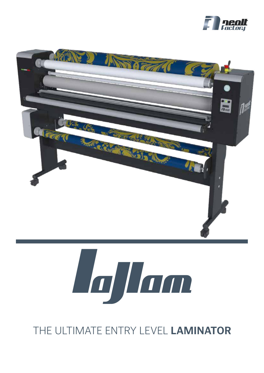





# THE ULTIMATE ENTRY LEVEL **LAMINATOR**